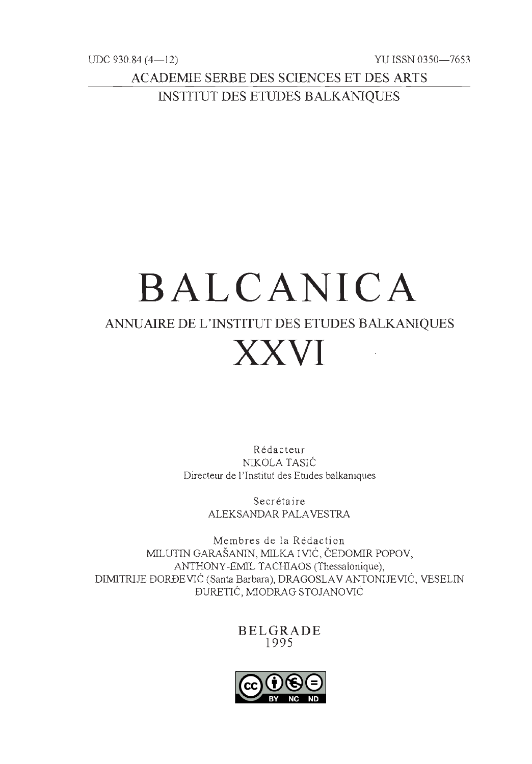UDC 930.84 (4— 12) YU ISSN 0350—7653

ACADEMIE SERBE DES SCIENCES ET DES ARTS INSTITUT DES ETUDES BALKANIQUES

# BALCANICA ANNUAIRE DE L'INSTITUT DES ETUDES BALKANIQUES XXVI WARE DEL INSTITUT DES ETODES BALKAR

Rédacteur NIKOLA TASIĆ Directeur de l'Institut des Etudes balkaniques

> Secrétaire ALEKSANDAR PALAVESTRA

Membres de la Rédaction MILUTIN GARAŠANIN, MILKA I VIĆ, ČEDOMIR POPOV, ANTHONY-EMIL TACHIAOS (Thessalonique) DIMITRIJE ĐORĐEVIĆ (Santa Barbara), DRAGOSLAV ANTONIJEVIĆ, VESELIN ĐURETIĆ, MIODRAG STOJANOVIĆ

BELGRADE  $1995$ 

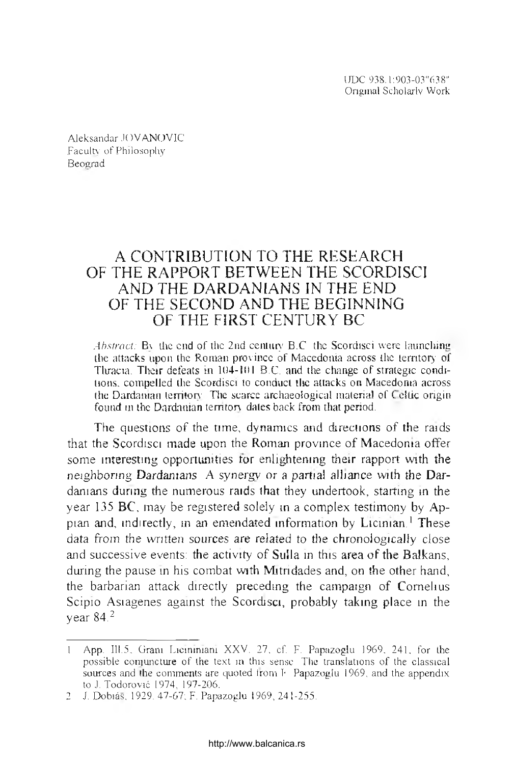UDC 938 1:903-03"638" Original Scholarly Work

Aleksandar JOVANOVIC Faculty of Philosophy Beograd

# A CONTRIBUTION TO THE RESEARCH OF THE RAPPORT BETWEEN THE SCORDISCI AND THE DARDANIANS IN THE END OF THE SECOND AND THE BEGINNING OF THE FIRST CENTURY BC

*Abstract:* By the end of the 2nd century B.C. the Scordisci were launching the attacks upon the Roman province of Macedonia across the territory of Thracia. Their defeats in 104-101 B.C. and the change of strategic conditions, compelled the Scordisci to conduct the attacks on Macedonia across the Dardanian territory. The scarce archaeological material of Celtic origin found in the Dardanian territory dates back from that period.

The questions of the time, dynamics and directions of the raids that the Scordisci made upon the Roman province of Macedonia offer some interesting opportunities for enlightening their rapport with the neighboring Dardanians A synergy or a partial alliance with the Dardanians during the numerous raids that they undertook, starting in the year 135 BC, may be registered solely in a complex testimony by Appian and, indirectly, in an emendated information by Licinian.<sup>1</sup> These data from the written sources are related to the chronologically close and successive events: the activity of Sulla in this area of the Balkans, during the pause in his combat with Mitridades and, on the other hand, the barbarian attack directly preceding the campaign of Cornelius Scipio Asiagenes against the Scordisci, probably taking place in the vear  $84<sup>2</sup>$ 

App. III.5, Grant Lietuniniani XXV. 27, cf. F. Papazoglu 1969, 241, for the possible conjuncture of the text in this sense. The translations of the classical sources and the comments are quoted from F Papazoglu 1969, and the appendix to J. Todorović 1974, 197-206.

<sup>2</sup> J. Dobiás, 1929. 47-67; F. Papazoglu 1969, 241-255.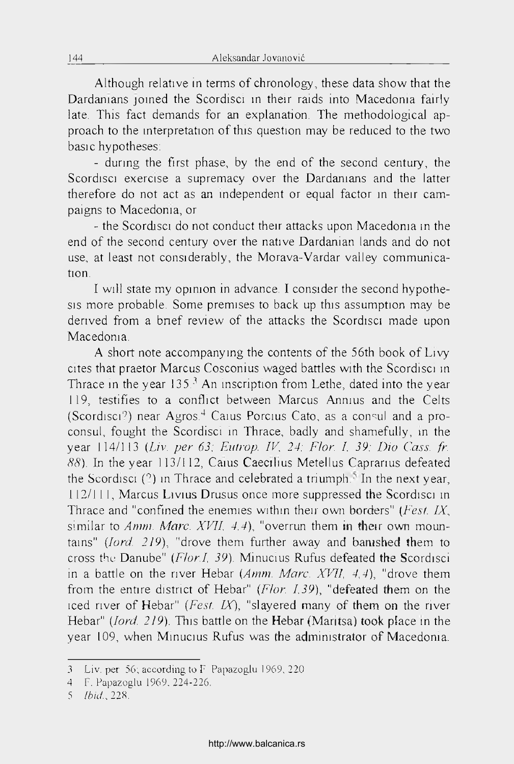Although relative in terms of chronology, these data show that the Dardanians joined the Scordisci in their raids into Macedonia fairly late. This fact demands for an explanarion. The methodological approach to the interprétation of this question may be reduced to the two basic hypotheses:

- during the first phase, by the end of the second century, the Scordisci exercise a supremacy over the Dardanians and the latter therefore do not act as an mdependent or equal factor in their campaigns to Macedoma, or

- the Scordisci do not conduct their attacks upon Macedonia in the end of the second century over the native Dardanian lands and do not use, at least not considerably, the Morava-Vardar valley communication.

I will state my opinion in advance. I consider the second hypothesis more probable. Some premises to back up this assumption may be derived from a bnef review of the attacks the Scordisci made upon Macedoma.

A short note accompanying the contents of the 56th book of Livy cites that praetor Marcus Cosconius waged battles with the Scordisci in Thrace in the year  $135<sup>3</sup>$  An inscription from Lethe, dated into the year 119, testifies to a conflict between Marcus Anmus and the Celts (Scordisci?) near Agros.<sup>4</sup> Caius Porcius Cato, as a consul and a proconsul, fought the Scordisci in Thrace, badly and shamefully, in the year 114/113 *(Liv. per 63; Eutrop. IV, 24; Flor. I, 39; Dio Cass. fr.* 88). In the year 113/112, Caius Caecilius Metellus Caprarius defeated the Scordisci (?) in Thrace and celebrated a triumph $\bar{N}$  In the next year, 112/1 1 1, Marcus Livius Drusus once more suppressed the Scordisci in Thrace and "confined the enemies within their own borders" *(Fest. IX,* similar to *Amm. Marc. XVII, 4,4*), "overrun them in their own mountains" *(lord. 219),* "drove them further away and bamshed them to cross the Danube" (*Flor.1, 39).* Minucius Rufus defeated the Scordisci in a battle on the river Hebar *(Amm. Marc. XVII. 4,4),* "drove them from the entire district of Hebar" *(Flor. 1,39),* "defeated them on the iced river of Hebar" *(Fest. IX),* "slayered many of them on the river Hebar" *(lord. 219).* This battle on the Hebar (Maritsa) took place in the year 109, when Minucius Rufus was the admimstrator of Macedoma.

<sup>3</sup> Liv. per 56; according to F Papazoglu 1969, 220

<sup>4</sup> F. Papazoglu 1969. 224-226.

<sup>5</sup> *Ibid.,* 228.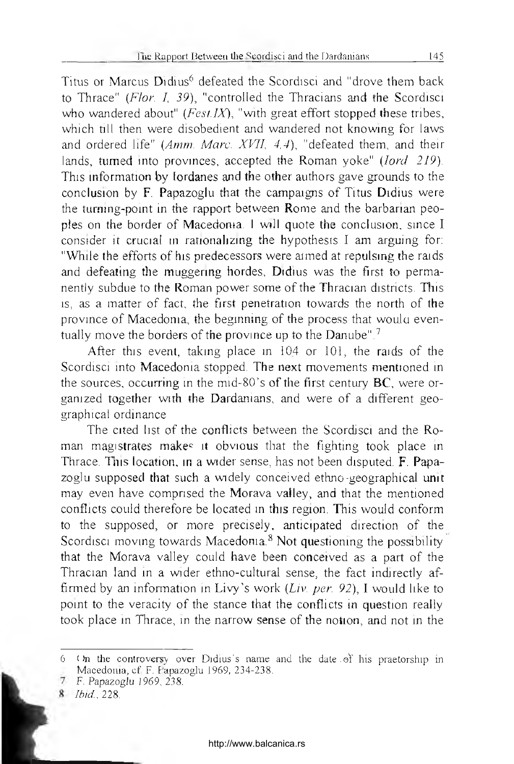Titus or Marcus Didius<sup>6</sup> defeated the Scordisci and "drove them back to Thrace" (Flor. I, 39), "controlled the Thracians and the Scordisci who wandered about" (*Fest IX*), "with great effort stopped these tribes, which till then were disobedient and wandered not knowing for laws and ordered life" (Amm. Marc. XVII, 4,4), "defeated them, and their lands, turned into provinces, accepted the Roman yoke" (*lord 219*). This information by fordanes and the other authors gave grounds to the conclusion by F. Papazoglu that the campaigns of Titus Didius were the turning-point in the rapport between Rome and the barbarian peoples on the border of Macedonia. I will quote the conclusion, since I consider it crucial in rationalizing the hypothesis I am arguing for: "While the efforts of his predecessors were aimed at repulsing the raids and defeating the muggering hordes, Didius was the first to permanently subdue to the Roman power some of the Thracian districts. This is, as a matter of fact, the first penetration towards the north of the province of Macedonia, the beginning of the process that would eventually move the borders of the province up to the Danube".<sup>7</sup>

After this event, taking place in 104 or 101, the raids of the Scordisci into Macedonia stopped. The next movements mentioned in the sources, occurring in the mid-80's of the first century BC, were organized together with the Dardanians, and were of a different geographical ordinance

The cited list of the conflicts between the Scordisci and the Roman magistrates makes it obvious that the fighting took place in Thrace. This location, in a wider sense, has not been disputed. F. Papazoglu supposed that such a widely conceived ethno-geographical unit may even have comprised the Morava valley, and that the mentioned conflicts could therefore be located in this region. This would conform to the supposed, or more precisely, anticipated direction of the Scordisci moving towards Macedonia.<sup>8</sup> Not questioning the possibility that the Morava valley could have been conceived as a part of the Thracian land in a wider ethno-cultural sense, the fact indirectly affirmed by an information in Livy's work (Liv. per. 92), I would like to point to the veracity of the stance that the conflicts in question really took place in Thrace, in the narrow sense of the notion, and not in the

<sup>(</sup>In the controversy over Didius's name and the date of his praetorship in 6 Macedonia, cf F. Fapazoglu 1969, 234-238.

<sup>7</sup> F. Papazoglu 1969, 238.

<sup>8</sup> *Ibid.*, 228.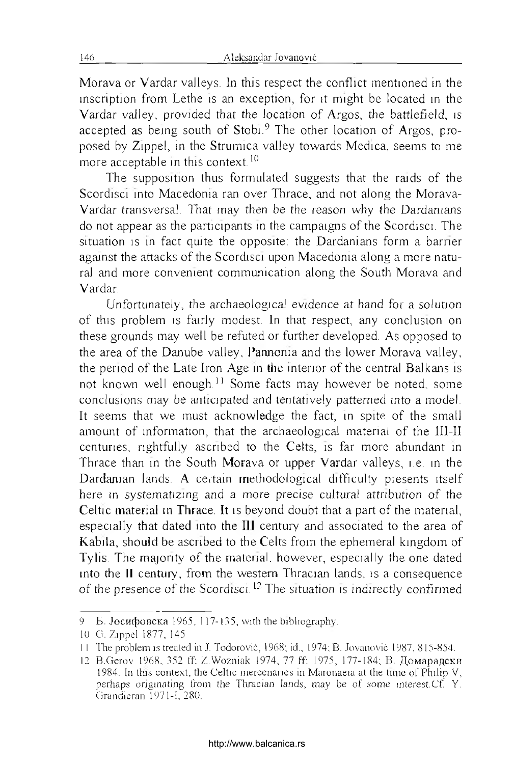Morava or Vardar valleys. Ln this respect the conflict mentioned in the inscription from Lethe is an exception, for it might be located in the Vardar vailey, provided that the location of Argos, the battlefield, is accepted as being south of Stobi.9 The other location of Argos, proposed by Zippel, in the Strumica valley towards Medica, seems to me more acceptable in this context.<sup>10</sup>

The supposition thus formulated suggests that the raids of the Scordisci into Macedonia ran over Thrace, and not along the Morava-Vardar transversal. That may then be the reason why the Dardanians do not appear as the participants in the campaigns of the Scordisci. The situation is in fact quite the opposite: the Dardanians form a barrier against the attacks of the Scordisci upon Macedonia along a more natural and more convement communication along the South Morava and Vardar.

Unfortunately, the archaeological evidence at hand for a solution of this problem is fairly modest. In that respect, any conclusion on these grounds may well be refuted or further developed. As opposed to the area of the Danube valley, l'annonia and the lower Morava valley, the period of the Late Iron Age in the interior of the central Balkans is not known well enough.<sup>11</sup> Some facts may however be noted, some conclusions may be anticipated and tentatively patterned into a model. It seems that we must acknowledge the fact, in spite of the small amount of information, that the archaeological material of the III-II centuries, rightfully ascribed to the Celts, îs far more abundant in Thrace than in the South Morava or upper Vardar valleys, i.e. in the Dardaman lands. A certain methodological difficulty presents itself here in systematizing and a more precise cultural attribution of the Celtic material in Thrace. It is beyond doubt that a part of the material, especially that dated into the 111 century and associated to the area of Kabila, should be ascribed to the Celts from the ephemeral kingdom of Tyiis. The majority of the material. however, especially the one dated into the il century, from the western Thracian lands, îs a conséquence of the presence of the Scordisci.<sup>12</sup> The situation is indirectly confirmed

<sup>9</sup> Б. **Јосифовска** 1965, 117-135, with the bibliography.

lü G. Zippel 1877, 145.

I I The problem îs trealed in J. Todorovié, 1968; ici., 1974; B. Jovanović 1987, 815-854.

<sup>12</sup> B.Gerov 1968, 352 ff; Z.Wozniak 1974, 77 ff. 1975, 177-184; В. Домарадски 1984. In tins context, the Celtic mercenanes in Maronaeia at the time of Philip V, perhaps origmating from the Tliracian lands, may be of some interest.Cf. Y. Grandieran 1971-1,280.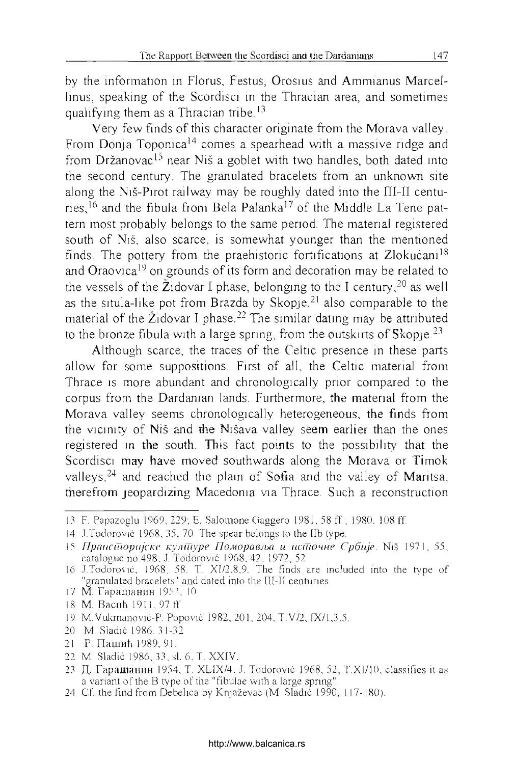by the information in Florus, Festus, Orosius and Ammianus Marcel-Iinus, speaking of the Scordisci in the Thracian area, and sometimes qualifying them as a Thracian tribe.<sup>13</sup>

Very few finds of this character originate from the Morava valley. From Donja Toponica<sup>14</sup> comes a spearhead with a massive ridge and from Držanovac<sup>15</sup> near Niš a goblet with two handles, both dated into the second century. The granulated bracelets from an unknown site along the Niš-Pirot railway may be roughly dated into the П1-П centuries.<sup>16</sup> and the fibula from Bela Palanka<sup>17</sup> of the Middle La Tene pattern most probably belongs to the same period. The material registered south of Niš, also scarce, is somewhat younger than the mentioned finds. The pottery from the praehistoric fortifications at Zlokućani<sup>18</sup> and Oraovica<sup>19</sup> on grounds of its form and decoration may be related to the vessels of the  $\tilde{Z}$ idovar I phase, belonging to the I century,  $20$  as well as the situla-like pot from Brazda by Skopje,<sup>21</sup> also comparable to the material of the Židovar I phase.<sup>22</sup> The similar dating may be attributed to the bronze fibula with a large spring, from the outskirts of Skopje.<sup>23</sup>

Although scarce, the traces of the Celtic presence in these parts allow for some suppositions. First of ail, the Celtic material from Thrace is more abundant and chronologically prior compared to the corpus from the Dardanian lands. Furthermore, the material from the Morava valley seems chronologically heterogeneous, the finds from the vicinity of Niš and the Nišava valley seem earlier than the ones registered in the south. This fact points to the possibility that the Scordisci may have moved southwards along the Morava or Timok valleys.<sup>24</sup> and reached the plain of Sofia and the valley of Maritsa, therefrom jeopardizing Macedoma via Thrace. Such a reconstruction

- 17 М. Гарашанин 1953, 10
- 18 M. Bacnh 1911, 97 ff.
- 19 M.Vukmanović-P. Popović 1982, 201, 204, T.V/2, ГХ/1,3,5.
- 20 M. Sladić 1986. 31-32
- 21 P. ПашиЬ 1989, 91.
- 22 M. Sladić 1986, 33, si. 6, T. XXIV.
- 23 Д. Гарашанин 1954, T. XLIX/4; J. Todorovié 1968, 52, T.XI/10, classifies it as a variant of the B type of the "fibulae with a large spring".
- 24 Cf. the find from Debelica by Knjaževac (M. Sladié 1990, 117-180).

<sup>13</sup> F. Papazoglu 1969, 229; E. Salomone Gaggero 1981,58 ff; 1980. 108 ff.

<sup>14</sup> J.Todorovié 1968, 35, 70 The spear belongs to the Ilb type.

<sup>15</sup> *ripcmcCUopujcKi' кулшуре Поморав/ш и исшочне Cpônje.* Niš 1971, 55, catalogue no.498; J. Todorović 1968, 42, 1972, 52.

<sup>16</sup> J.Todorocić, 1968, 58. T. XT/2,8,9. The finds are included into the type of "granulated bracelets" and dated into the III-II centuries.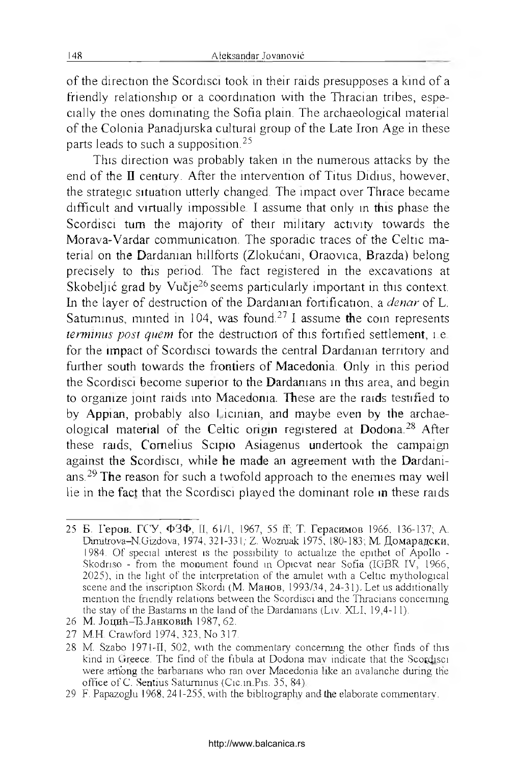of the direction the Scordisci took in their raids presupposes a kind of a friendly relationship or a coordination with the Thracian tribes, especially the ones dominating the Sofia plain. The archaeological material of the Colonia Panadjurska cultural group of the Late Iron Age in these parts leads to such a supposition.25

This direction was probably taken in the numerous attacks by the end of the  $\mathbf I$  century. After the intervention of Titus Didius, however, the strategie situation utterly changed. The impact over Thrace became difficult and virtually impossible. I assume that only in this phase the Scordisci tum the majority of their military activity towards the Morava-Vardar communication. The sporadic traces of the Celtic material on the Dardanian hillforts (Zlokuéani, Oraovica, Brazda) belong precisely to this period. The fact registered in the excavations at Skobeljić grad by Vučje<sup>26</sup> seems particularly important in this context. Ln the layer of destruction of the Dardanian fortification, a *denar* of L. Satuminus, minted in 104, was found.<sup>27</sup> I assume the coin represents *terminus post quem* for the destruction of this fortified settlement, î.e. for the impact of Scordisci towards the central Dardanian territory and further south towards the frontiers of Macedonia. Only in this period the Scordisci become superior to the Dardamans in this area, and begin to organize joint raids into Macedonia. These are the raids testified to by Appian, probably also Licinian, and maybe even by the archaeological material of the Celtic origin registered at Dodona.<sup>28</sup> After these raids, Cornelius Scipio Asiagenus undertook the campaign against the Scordisci, while he made an agreement with the Dardanians.<sup>29</sup> The reason for such a twofold approach to the enemies may well lie in the fact that the Scordisci played the dominant role in these raids

<sup>25</sup> Б. Герое. ГСУ, ФЗФ, II, 61/1, 1967, 55 ff; T. Герасимов 1966, 136-137; A. Dimitrova-N.Uizdova, 1974, 321-33 I; Z. Wozrnak 1975, 180-183; M. Домарадски, 1984. Of special interest is the possibility to actualize the epithet of Apollo -Skodriso - from the monument found in Opicvat near Sofia (IGBR IV, 1966, 2025), in the hght of the interprétation of the amulet with a Celtic mythological scene and the inscription Skordi (М. Манов, 1993/34, 24-31). Let us additionally mention the friendly relations between the Scordisci and the Thracians conceming the stay of the Bastams in the land of the Dardamans (Liv. XLI, 19,4-1 1).

<sup>26</sup> М. Јоцић-Ђ.Јанковић 1987, 62.

<sup>27</sup> M.H. Crawford 1974, 323, No 317.

<sup>28</sup> M. Szabo 1971-11, 502, with the commentary conceming the other finds of this kind in Greece. The find of the fibula at Dodona may indicate that the Scordisci were artiong the barbarians who ran over Macedonia like an avalanche during the office of C. Sentius Satuminus (Cic.in.Pis. 35, 84).

<sup>29</sup> F. Papazoglu 1968, 24 1-255, with the bibltography and lire elaborate commentary.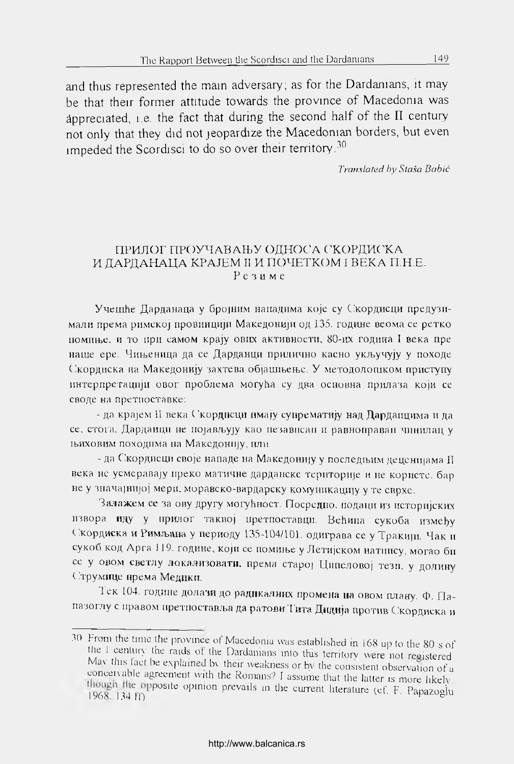and thus represented the main adversary; as for the Dardamans, it may be that their former attitude towards the province of Macedoma was appreciated, i.e. the fact that during the second half of the  $II$  century not only that they did not jeopardize the Macedonian borders, but even impeded the Scordisci to do so over their territory.<sup>30</sup>

*Transla/ed by Staša Babić*

# ПРИЛОГ ПРОУЧАВАЊУ ОДНОСА СКОРДИСКА И ДАРДАНАЦА КРАЈЕМ II И ПОЧЕТКОМ I ВЕКА П.Н.Е. Резиме

УчешЬе Дарданаца у бро|ним нападнма Koje су Екордисци предузимали према римској провинцији Македонији од 135. године веома се ретко помшье, и то при самом npajy ових активности, 80-их година I века пре наше ере. Чињеница да се Дарданци прилично касно укључују у походе Екорднска на Македонку захтева об|агшьегье. У методолошком прис'гупу интерпретации овог проблема Moryha су два основна прилаза Kojn се своде на претпоставке:

- да крајем II века Скорднсци имају супрематију над Дардапцима и да се, стога. Дарданци не појављују као независан и равноправан чинилац у шиховнм походнма па Максдошцу, или

- да Скордисци своје нападе на Македонију у последњим деценијама II пека не усмерава]у преко матичне дардапскс територще и не корнете, бар не у значајнијој мери, моравско-вардарску комуникацију у те сврхе.

Залажем се за ову другу могућност. Посредно. подаци из историјских извора иду у прилог таквој претпоставци. Већина сукоба између Скордиска и Римљана у периоду 135-104/101. одиграва се у Тракији. Чак и сукоб код Арга 119. године, који се помиње у Летијском натпису, могао бп се у овом светлу локализовати, према старо) Ципеловој тези, у долину Етрумнце према Медики.

1 ек 104. године долазп до радикалних промена на овом плану. Ф. Папазоглу с правом претпоставља да ратови Тита Дидија против Скордиска и

<sup>30</sup> From the time the province of Macedonia was established in 168 up to the 80 s of the I century the raids of the Dardamans into this territory were not registered Mav tins tact be explamed bv their weakness or bv the consistent observation of a conceivable agreement with the Romans? I assume that the latter is more likely though the opposite opinion prevails in the current literature (cf. F. Papazoglu 1968. 134 ff)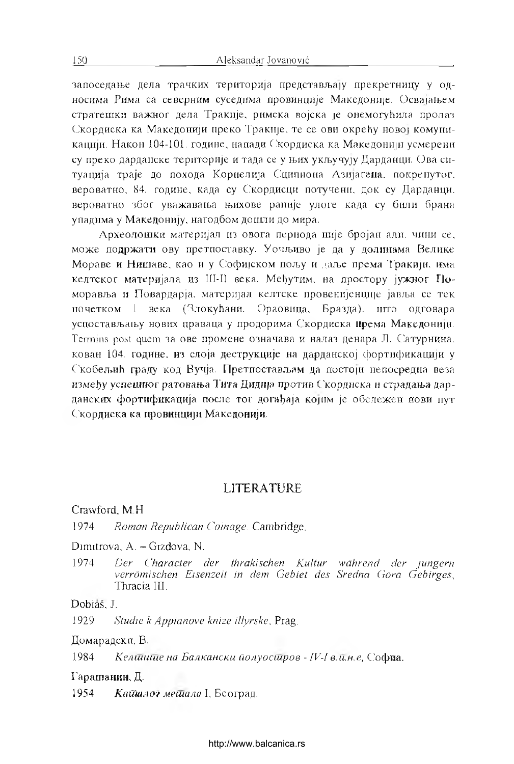запоседање дела трачких територија представљају прекретницу у односима Рима са северним суседима провинције Македоније. Освајањем страгешкн важног дела TpaKiije, рнмска nojcKa je онемогуЬила пролаз Скордиска ка Македонији преко Тракије, те се ови окрећу новој комуни-Kapujii. Након 104-101. године, напади Окордиска ка Македонии усмерени су преко дарданске територије и тада се у њих укључују Дарданци. Ова ситуација траје до похода Корнелија Сципиона Азијагена, покренутог, вероватно, 84. године, када су Скордисци потучени, док су Дарданци. вероватно због уважаваньа лихове paHiije улоге када су били брана упадима у Македонку, нагодбом дошли до мира.

Археолошки материал из овога периода niije 6pojan али. чини се, може подржати ову претпоставку. Уочльиво je да у долинами Велике Мораве и Нишаве, као и у Софијском пољу и даље према Тракији, има келтског материјала из Ш-II века. Међутим, на простору јужног Поморавља и Повардарја, материјал келтске провенијенције јавља се тек почетком 1 века (ЯлокуЬани. Ораовнца, Бразда), пгго одговара успостављању нових праваца у продорима Скордиска према Македонији. Termins post quem за ове промене означава и налаз денара Л. Сатурнина. кован 104. године, из слоја деструкције на дарданској фортификацији у Скобељић граду код Вучја. Претпостављам да поетоји непосредна веза између успешног ратовања Тита Дидна против Скордиска и страдања дарданских фортификација после тог догађаја којим је обележен нови пут Скордиска ка провинцији Македонији.

# **LITERATURE**

Crawford, M.H

1974 *Roman Republican Coinage.* Cambridge.

Dimitrova, A. - Gizdova, N.

1974 *Der Gharacter cler thrakischen Kultur wührend der jungern verrômischen Eisenzeit in dem Gebiet des Sredna Gora Gebirges,* Thracia III.

Dobiaš, J.

1929 *Studie к Appianove knize illyrske*, Prag.

Домарадски, B.

1984 *Келшише на Балкански йолуосшров - IV-I влкн.е,* София,

Г арашашш, Д.

1954 *Кайшлот мейдала* I, Београд.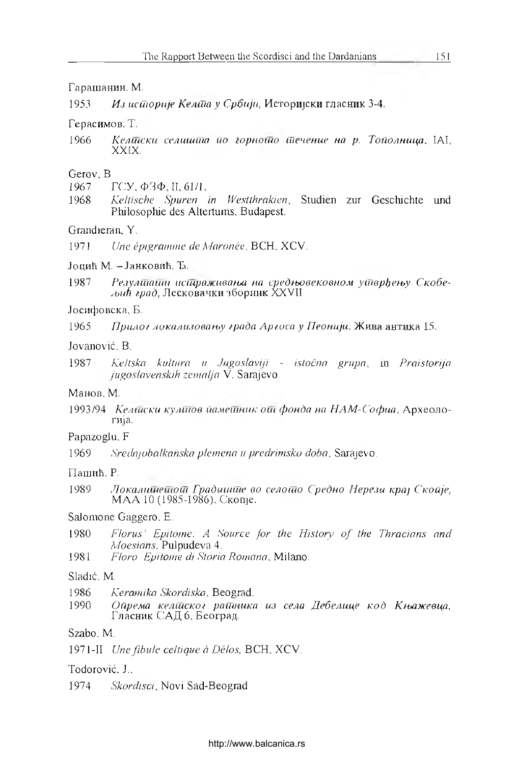# Гарашанин. M.

1953 *Из историје Келта у Србији*, Историјски гласник 3-4.

# Герасимов. T.

1966 *Келшски еелишит ио /орношо (Печение на р. ТоПолница*, IAI, XXIX.

#### Gerov. В.

- 1967 ГСУ, ФЗФ,П, 61/1,
- 1968 *Keltische Spuren in Westthrakien,* Studien zur Geschichte und Philosophie des Altertums, Budapest.

# Grandieran, Y.

1971 *Une épigramme de Maronče,* BCH, XCV.

#### Jou,nh M. -JaHKOBnh. Ъ.

1987 *Резулимайн исидраживања на средњовековном у*итврђењу Скобе*jbuh /рад,* Лесковачки зборннк XXVII.

# Јосифовска, Б.

1965 *Прилог локализовању града Аргоса у Пеонији*. Жива антика 15.

#### Jovanović. В.

1987 *Keltska kultiira и Jugoslaviji - istočna gntpa,* m *Praistorija jugoslavenskih zemalja* V. Sarajevo.

#### Манов. M.

1993/94 *Келшски кулш ов йамешник ош фонда на Н АМ -Софиа*, Археолоrnja.

# Papazoglu. F.

1969 *Sreclnjobalkanska plemena и predrimsko doba*, Sarajevo.

#### ПашиЬ, P.

1989 *Локалишешош Градишше во селошо С'редно Нерези кра] Скогфе,* МАА 10 (1985-1986). Скоп|е.

# Salomone Gaggero. Е.

- 1980 Florus' Epitome: A Source for the History of the Thracians and *Moesians.* Pulpudeva 4.
- 1981 *Flora*. *Epi tome di Storia Rontann.* Milano.

### Sladić. M.

- 1986 *Keramika Skordiska.* Beograd.
- 1990 *Ойрема келийског райника из села Дебелице код Књажевца*, Гласник САД 6, Београд.

## Szabo. М.

1971-П *Une fibule celtique à Délos,* BCH, XCV.

#### Todorović, J..

1974 *Skordisci*, Novi Sad-Beograd.